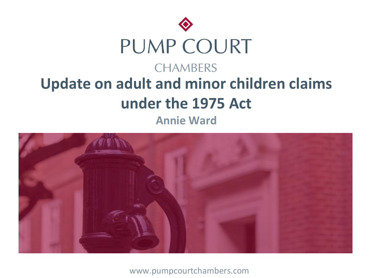



www.pumpcourtchambers.com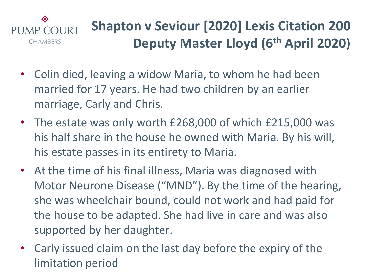#### ◈ **Shapton v Seviour [2020] Lexis Citation 200** PUMP COURT **Deputy Master Lloyd (6th April 2020) CHAMBERS**

- Colin died, leaving a widow Maria, to whom he had been married for 17 years. He had two children by an earlier marriage, Carly and Chris.
- The estate was only worth £268,000 of which £215,000 was his half share in the house he owned with Maria. By his will, his estate passes in its entirety to Maria.
- At the time of his final illness, Maria was diagnosed with Motor Neurone Disease ("MND"). By the time of the hearing, she was wheelchair bound, could not work and had paid for the house to be adapted. She had live in care and was also supported by her daughter.
- Carly issued claim on the last day before the expiry of the limitation period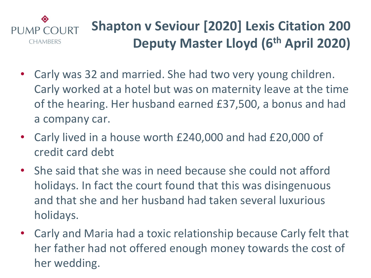#### ◈ **Shapton v Seviour [2020] Lexis Citation 200** PUMP COURT **Deputy Master Lloyd (6th April 2020) CHAMBERS**

- Carly was 32 and married. She had two very young children. Carly worked at a hotel but was on maternity leave at the time of the hearing. Her husband earned £37,500, a bonus and had a company car.
- Carly lived in a house worth £240,000 and had £20,000 of credit card debt
- She said that she was in need because she could not afford holidays. In fact the court found that this was disingenuous and that she and her husband had taken several luxurious holidays.
- Carly and Maria had a toxic relationship because Carly felt that her father had not offered enough money towards the cost of her wedding.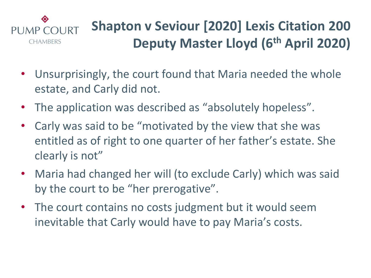#### ◈ **Shapton v Seviour [2020] Lexis Citation 200** PUMP COURT **Deputy Master Lloyd (6th April 2020) CHAMBERS**

- Unsurprisingly, the court found that Maria needed the whole estate, and Carly did not.
- The application was described as "absolutely hopeless".
- Carly was said to be "motivated by the view that she was entitled as of right to one quarter of her father's estate. She clearly is not"
- Maria had changed her will (to exclude Carly) which was said by the court to be "her prerogative".
- The court contains no costs judgment but it would seem inevitable that Carly would have to pay Maria's costs.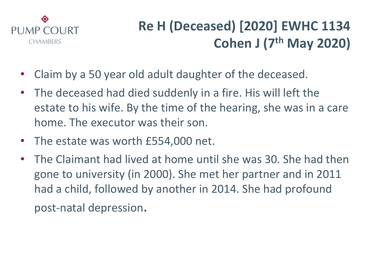

- Claim by a 50 year old adult daughter of the deceased.
- The deceased had died suddenly in a fire. His will left the estate to his wife. By the time of the hearing, she was in a care home. The executor was their son.
- The estate was worth £554,000 net.
- The Claimant had lived at home until she was 30. She had then gone to university (in 2000). She met her partner and in 2011 had a child, followed by another in 2014. She had profound post-natal depression.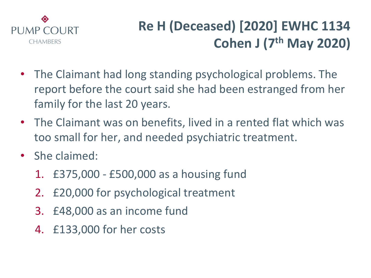

- The Claimant had long standing psychological problems. The report before the court said she had been estranged from her family for the last 20 years.
- The Claimant was on benefits, lived in a rented flat which was too small for her, and needed psychiatric treatment.
- She claimed:
	- 1. £375,000 £500,000 as a housing fund
	- 2. £20,000 for psychological treatment
	- 3. £48,000 as an income fund
	- 4. £133,000 for her costs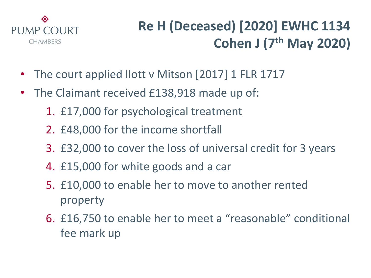

- The court applied Ilott v Mitson [2017] 1 FLR 1717
- The Claimant received £138,918 made up of:
	- 1. £17,000 for psychological treatment
	- 2. £48,000 for the income shortfall
	- 3. £32,000 to cover the loss of universal credit for 3 years
	- 4. £15,000 for white goods and a car
	- 5. £10,000 to enable her to move to another rented property
	- 6. £16,750 to enable her to meet a "reasonable" conditional fee mark up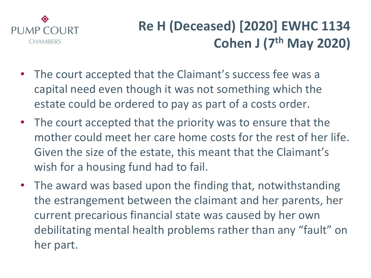

- The court accepted that the Claimant's success fee was a capital need even though it was not something which the estate could be ordered to pay as part of a costs order.
- The court accepted that the priority was to ensure that the mother could meet her care home costs for the rest of her life. Given the size of the estate, this meant that the Claimant's wish for a housing fund had to fail.
- The award was based upon the finding that, notwithstanding the estrangement between the claimant and her parents, her current precarious financial state was caused by her own debilitating mental health problems rather than any "fault" on her part.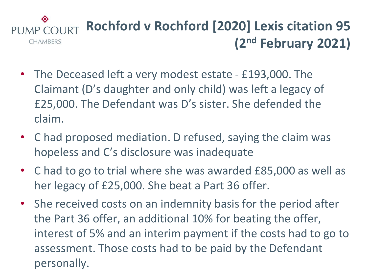#### ◈ **Rochford v Rochford [2020] Lexis citation 95** COURT PUMP. **(2nd February 2021) CHAMBERS**

- The Deceased left a very modest estate £193,000. The Claimant (D's daughter and only child) was left a legacy of £25,000. The Defendant was D's sister. She defended the claim.
- C had proposed mediation. D refused, saying the claim was hopeless and C's disclosure was inadequate
- C had to go to trial where she was awarded £85,000 as well as her legacy of £25,000. She beat a Part 36 offer.
- She received costs on an indemnity basis for the period after the Part 36 offer, an additional 10% for beating the offer, interest of 5% and an interim payment if the costs had to go to assessment. Those costs had to be paid by the Defendant personally.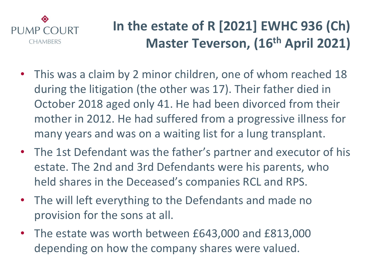

- This was a claim by 2 minor children, one of whom reached 18 during the litigation (the other was 17). Their father died in October 2018 aged only 41. He had been divorced from their mother in 2012. He had suffered from a progressive illness for many years and was on a waiting list for a lung transplant.
- The 1st Defendant was the father's partner and executor of his estate. The 2nd and 3rd Defendants were his parents, who held shares in the Deceased's companies RCL and RPS.
- The will left everything to the Defendants and made no provision for the sons at all.
- The estate was worth between £643,000 and £813,000 depending on how the company shares were valued.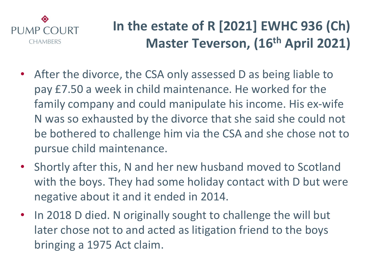

- After the divorce, the CSA only assessed D as being liable to pay £7.50 a week in child maintenance. He worked for the family company and could manipulate his income. His ex-wife N was so exhausted by the divorce that she said she could not be bothered to challenge him via the CSA and she chose not to pursue child maintenance.
- Shortly after this, N and her new husband moved to Scotland with the boys. They had some holiday contact with D but were negative about it and it ended in 2014.
- In 2018 D died. N originally sought to challenge the will but later chose not to and acted as litigation friend to the boys bringing a 1975 Act claim.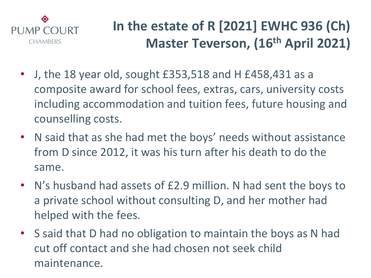

- J, the 18 year old, sought £353,518 and H £458,431 as a composite award for school fees, extras, cars, university costs including accommodation and tuition fees, future housing and counselling costs.
- N said that as she had met the boys' needs without assistance from D since 2012, it was his turn after his death to do the same.
- N's husband had assets of £2.9 million. N had sent the boys to a private school without consulting D, and her mother had helped with the fees.
- S said that D had no obligation to maintain the boys as N had cut off contact and she had chosen not seek child maintenance.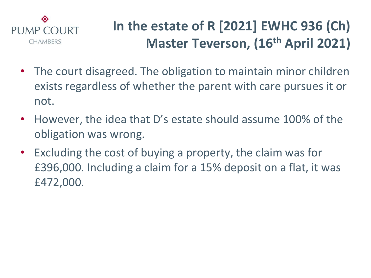

- The court disagreed. The obligation to maintain minor children exists regardless of whether the parent with care pursues it or not.
- However, the idea that D's estate should assume 100% of the obligation was wrong.
- Excluding the cost of buying a property, the claim was for £396,000. Including a claim for a 15% deposit on a flat, it was £472,000.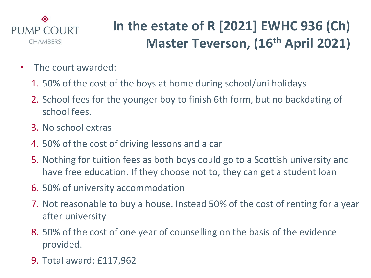

- The court awarded:
	- 1. 50% of the cost of the boys at home during school/uni holidays
	- 2. School fees for the younger boy to finish 6th form, but no backdating of school fees.
	- 3. No school extras
	- 4. 50% of the cost of driving lessons and a car
	- 5. Nothing for tuition fees as both boys could go to a Scottish university and have free education. If they choose not to, they can get a student loan
	- 6. 50% of university accommodation
	- 7. Not reasonable to buy a house. Instead 50% of the cost of renting for a year after university
	- 8. 50% of the cost of one year of counselling on the basis of the evidence provided.
	- 9. Total award: £117,962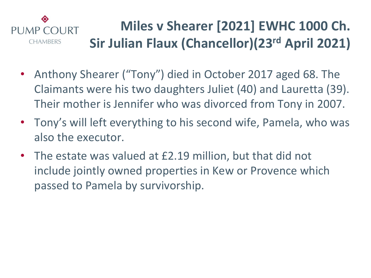#### ◈ **Miles v Shearer [2021] EWHC 1000 Ch.** PUMP COURT **Sir Julian Flaux (Chancellor)(23rd April 2021) CHAMBERS**

- Anthony Shearer ("Tony") died in October 2017 aged 68. The Claimants were his two daughters Juliet (40) and Lauretta (39). Their mother is Jennifer who was divorced from Tony in 2007.
- Tony's will left everything to his second wife, Pamela, who was also the executor.
- The estate was valued at £2.19 million, but that did not include jointly owned properties in Kew or Provence which passed to Pamela by survivorship.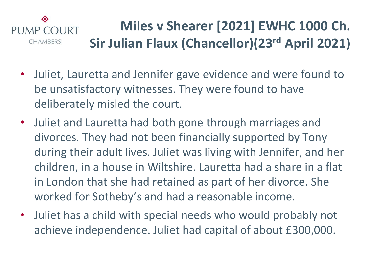#### ◈ **Miles v Shearer [2021] EWHC 1000 Ch.** PUMP COURT **Sir Julian Flaux (Chancellor)(23rd April 2021) CHAMBERS**

- Juliet, Lauretta and Jennifer gave evidence and were found to be unsatisfactory witnesses. They were found to have deliberately misled the court.
- Juliet and Lauretta had both gone through marriages and divorces. They had not been financially supported by Tony during their adult lives. Juliet was living with Jennifer, and her children, in a house in Wiltshire. Lauretta had a share in a flat in London that she had retained as part of her divorce. She worked for Sotheby's and had a reasonable income.
- Juliet has a child with special needs who would probably not achieve independence. Juliet had capital of about £300,000.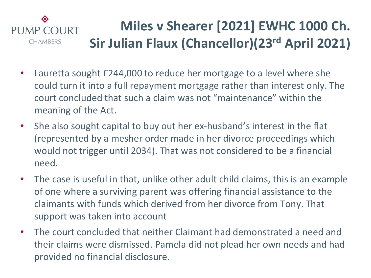#### ◈ **Miles v Shearer [2021] EWHC 1000 Ch. PUMP COURT Sir Julian Flaux (Chancellor)(23rd April 2021) CHAMBERS**

- Lauretta sought £244,000 to reduce her mortgage to a level where she could turn it into a full repayment mortgage rather than interest only. The court concluded that such a claim was not "maintenance" within the meaning of the Act.
- She also sought capital to buy out her ex-husband's interest in the flat (represented by a mesher order made in her divorce proceedings which would not trigger until 2034). That was not considered to be a financial need.
- The case is useful in that, unlike other adult child claims, this is an example of one where a surviving parent was offering financial assistance to the claimants with funds which derived from her divorce from Tony. That support was taken into account
- The court concluded that neither Claimant had demonstrated a need and their claims were dismissed. Pamela did not plead her own needs and had provided no financial disclosure.